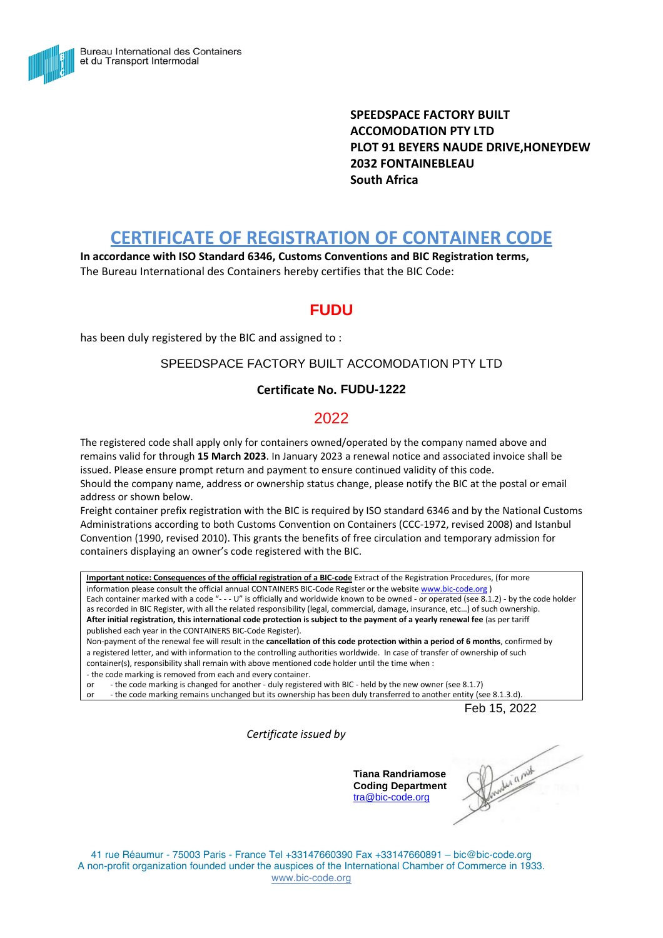

**SPEEDSPACE FACTORY BUILT ACCOMODATION PTY LTD PLOT 91 BEYERS NAUDE DRIVE,HONEYDEW 2032 FONTAINEBLEAU South Africa**

# **CERTIFICATE OF REGISTRATION OF CONTAINER CODE**

**In accordance with ISO Standard 6346, Customs Conventions and BIC Registration terms,** The Bureau International des Containers hereby certifies that the BIC Code:

## **FUDU**

has been duly registered by the BIC and assigned to :

#### SPEEDSPACE FACTORY BUILT ACCOMODATION PTY LTD

#### **Certificate No. FUDU-1222**

### 2022

The registered code shall apply only for containers owned/operated by the company named above and remains valid for through **15 March 2023**. In January 2023 a renewal notice and associated invoice shall be issued. Please ensure prompt return and payment to ensure continued validity of this code. Should the company name, address or ownership status change, please notify the BIC at the postal or email address or shown below.

Freight container prefix registration with the BIC is required by ISO standard 6346 and by the National Customs Administrations according to both Customs Convention on Containers (CCC-1972, revised 2008) and Istanbul Convention (1990, revised 2010). This grants the benefits of free circulation and temporary admission for containers displaying an owner's code registered with the BIC.

**Important notice: Consequences of the official registration of a BIC-code** Extract of the Registration Procedures, (for more information please consult the official annual CONTAINERS BIC-Code Register or the website [www.bic-code.org](http://www.bic-code.org/) ) Each container marked with a code "- - - U" is officially and worldwide known to be owned - or operated (see 8.1.2) - by the code holder as recorded in BIC Register, with all the related responsibility (legal, commercial, damage, insurance, etc…) of such ownership. After initial registration, this international code protection is subject to the payment of a yearly renewal fee (as per tariff published each year in the CONTAINERS BIC-Code Register).

Non-payment of the renewal fee will result in the **cancellation of this code protection within a period of 6 months**, confirmed by a registered letter, and with information to the controlling authorities worldwide. In case of transfer of ownership of such container(s), responsibility shall remain with above mentioned code holder until the time when :

- the code marking is removed from each and every container.

or - the code marking is changed for another - duly registered with BIC - held by the new owner (see 8.1.7)

or - the code marking remains unchanged but its ownership has been duly transferred to another entity (see 8.1.3.d).

Feb 15, 2022

*Certificate issued by*

**Tiana Randriamose Coding Department** [tra@bic-code.org](mailto:tra@bic-code.org)

moder a next

41 rue Réaumur - 75003 Paris - France Tel +33147660390 Fax +33147660891 – bic@bic-code.org A non-profit organization founded under the auspices of the International Chamber of Commerce in 1933. [www.bic-code.org](http://www.bic-code.org/)